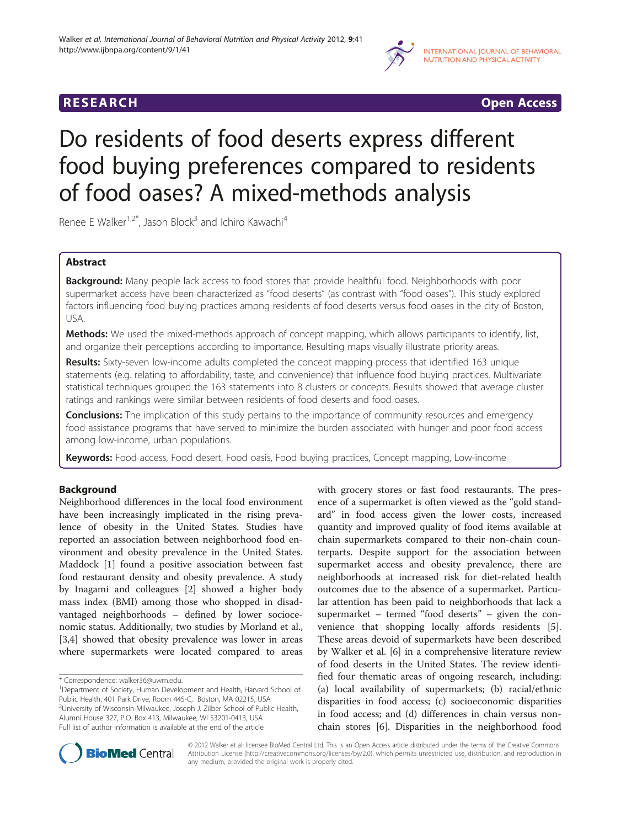

# **RESEARCH CONSTRUCTED ACCESS**

# Do residents of food deserts express different food buying preferences compared to residents of food oases? A mixed-methods analysis

Renee E Walker<sup>1,2\*</sup>, Jason Block<sup>3</sup> and Ichiro Kawachi<sup>4</sup>

# Abstract

Background: Many people lack access to food stores that provide healthful food. Neighborhoods with poor supermarket access have been characterized as "food deserts" (as contrast with "food oases"). This study explored factors influencing food buying practices among residents of food deserts versus food oases in the city of Boston, USA.

Methods: We used the mixed-methods approach of concept mapping, which allows participants to identify, list, and organize their perceptions according to importance. Resulting maps visually illustrate priority areas.

Results: Sixty-seven low-income adults completed the concept mapping process that identified 163 unique statements (e.g. relating to affordability, taste, and convenience) that influence food buying practices. Multivariate statistical techniques grouped the 163 statements into 8 clusters or concepts. Results showed that average cluster ratings and rankings were similar between residents of food deserts and food oases.

**Conclusions:** The implication of this study pertains to the importance of community resources and emergency food assistance programs that have served to minimize the burden associated with hunger and poor food access among low-income, urban populations.

Keywords: Food access, Food desert, Food oasis, Food buying practices, Concept mapping, Low-income

## Background

Neighborhood differences in the local food environment have been increasingly implicated in the rising prevalence of obesity in the United States. Studies have reported an association between neighborhood food environment and obesity prevalence in the United States. Maddock [1] found a positive association between fast food restaurant density and obesity prevalence. A study by Inagami and colleagues [2] showed a higher body mass index (BMI) among those who shopped in disadvantaged neighborhoods – defined by lower sociocenomic status. Additionally, two studies by Morland et al., [3,4] showed that obesity prevalence was lower in areas where supermarkets were located compared to areas

with grocery stores or fast food restaurants. The presence of a supermarket is often viewed as the "gold standard" in food access given the lower costs, increased quantity and improved quality of food items available at chain supermarkets compared to their non-chain counterparts. Despite support for the association between supermarket access and obesity prevalence, there are neighborhoods at increased risk for diet-related health outcomes due to the absence of a supermarket. Particular attention has been paid to neighborhoods that lack a supermarket – termed "food deserts" – given the convenience that shopping locally affords residents [5]. These areas devoid of supermarkets have been described by Walker et al. [6] in a comprehensive literature review of food deserts in the United States. The review identified four thematic areas of ongoing research, including: (a) local availability of supermarkets; (b) racial/ethnic disparities in food access; (c) socioeconomic disparities in food access; and (d) differences in chain versus nonchain stores [6]. Disparities in the neighborhood food



© 2012 Walker et al; licensee BioMed Central Ltd. This is an Open Access article distributed under the terms of the Creative Commons Attribution License (http://creativecommons.org/licenses/by/2.0), which permits unrestricted use, distribution, and reproduction in any medium, provided the original work is properly cited.

<sup>\*</sup> Correspondence: walker36@uwm.edu. <sup>1</sup>

<sup>&</sup>lt;sup>1</sup>Department of Society, Human Development and Health, Harvard School of Public Health, 401 Park Drive, Room 445-C, Boston, MA 02215, USA <sup>2</sup>University of Wisconsin-Milwaukee, Joseph J. Zilber School of Public Health, Alumni House 327, P.O. Box 413, Milwaukee, WI 53201-0413, USA Full list of author information is available at the end of the article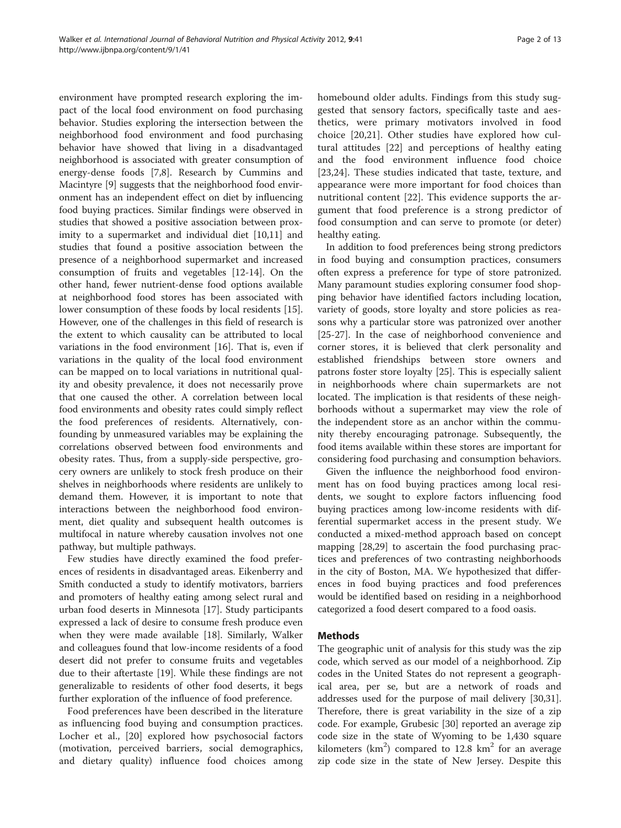environment have prompted research exploring the impact of the local food environment on food purchasing behavior. Studies exploring the intersection between the neighborhood food environment and food purchasing behavior have showed that living in a disadvantaged neighborhood is associated with greater consumption of energy-dense foods [7,8]. Research by Cummins and Macintyre [9] suggests that the neighborhood food environment has an independent effect on diet by influencing food buying practices. Similar findings were observed in studies that showed a positive association between proximity to a supermarket and individual diet [10,11] and studies that found a positive association between the presence of a neighborhood supermarket and increased consumption of fruits and vegetables [12-14]. On the other hand, fewer nutrient-dense food options available at neighborhood food stores has been associated with lower consumption of these foods by local residents [15]. However, one of the challenges in this field of research is the extent to which causality can be attributed to local variations in the food environment [16]. That is, even if variations in the quality of the local food environment can be mapped on to local variations in nutritional quality and obesity prevalence, it does not necessarily prove that one caused the other. A correlation between local food environments and obesity rates could simply reflect the food preferences of residents. Alternatively, confounding by unmeasured variables may be explaining the correlations observed between food environments and obesity rates. Thus, from a supply-side perspective, grocery owners are unlikely to stock fresh produce on their shelves in neighborhoods where residents are unlikely to demand them. However, it is important to note that interactions between the neighborhood food environment, diet quality and subsequent health outcomes is multifocal in nature whereby causation involves not one pathway, but multiple pathways.

Few studies have directly examined the food preferences of residents in disadvantaged areas. Eikenberry and Smith conducted a study to identify motivators, barriers and promoters of healthy eating among select rural and urban food deserts in Minnesota [17]. Study participants expressed a lack of desire to consume fresh produce even when they were made available [18]. Similarly, Walker and colleagues found that low-income residents of a food desert did not prefer to consume fruits and vegetables due to their aftertaste [19]. While these findings are not generalizable to residents of other food deserts, it begs further exploration of the influence of food preference.

Food preferences have been described in the literature as influencing food buying and consumption practices. Locher et al., [20] explored how psychosocial factors (motivation, perceived barriers, social demographics, and dietary quality) influence food choices among homebound older adults. Findings from this study suggested that sensory factors, specifically taste and aesthetics, were primary motivators involved in food choice [20,21]. Other studies have explored how cultural attitudes [22] and perceptions of healthy eating and the food environment influence food choice [23,24]. These studies indicated that taste, texture, and appearance were more important for food choices than nutritional content [22]. This evidence supports the argument that food preference is a strong predictor of food consumption and can serve to promote (or deter) healthy eating.

In addition to food preferences being strong predictors in food buying and consumption practices, consumers often express a preference for type of store patronized. Many paramount studies exploring consumer food shopping behavior have identified factors including location, variety of goods, store loyalty and store policies as reasons why a particular store was patronized over another [25-27]. In the case of neighborhood convenience and corner stores, it is believed that clerk personality and established friendships between store owners and patrons foster store loyalty [25]. This is especially salient in neighborhoods where chain supermarkets are not located. The implication is that residents of these neighborhoods without a supermarket may view the role of the independent store as an anchor within the community thereby encouraging patronage. Subsequently, the food items available within these stores are important for considering food purchasing and consumption behaviors.

Given the influence the neighborhood food environment has on food buying practices among local residents, we sought to explore factors influencing food buying practices among low-income residents with differential supermarket access in the present study. We conducted a mixed-method approach based on concept mapping [28,29] to ascertain the food purchasing practices and preferences of two contrasting neighborhoods in the city of Boston, MA. We hypothesized that differences in food buying practices and food preferences would be identified based on residing in a neighborhood categorized a food desert compared to a food oasis.

#### Methods

The geographic unit of analysis for this study was the zip code, which served as our model of a neighborhood. Zip codes in the United States do not represent a geographical area, per se, but are a network of roads and addresses used for the purpose of mail delivery [30,31]. Therefore, there is great variability in the size of a zip code. For example, Grubesic [30] reported an average zip code size in the state of Wyoming to be 1,430 square kilometers ( $km<sup>2</sup>$ ) compared to 12.8  $km<sup>2</sup>$  for an average zip code size in the state of New Jersey. Despite this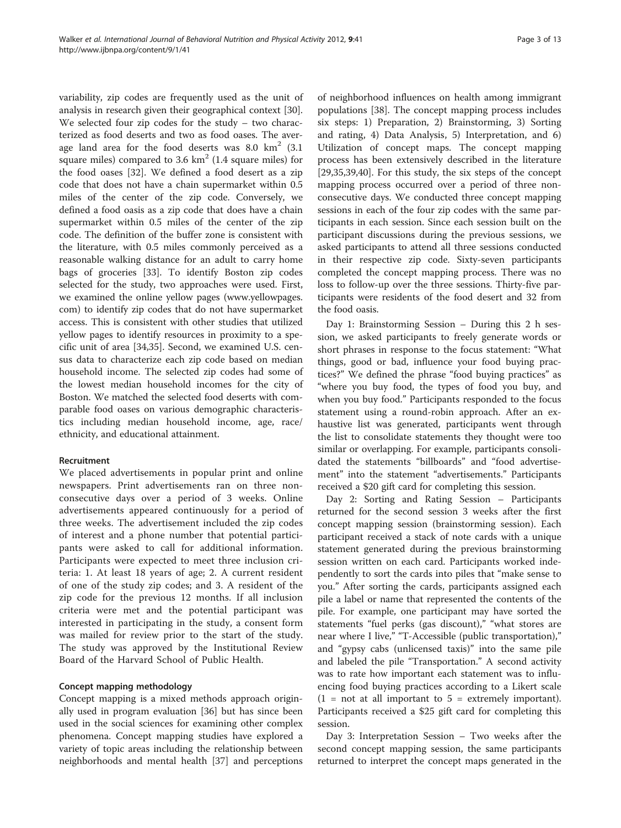variability, zip codes are frequently used as the unit of analysis in research given their geographical context [30]. We selected four zip codes for the study – two characterized as food deserts and two as food oases. The average land area for the food deserts was  $8.0 \text{ km}^2$  (3.1) square miles) compared to 3.6  $km<sup>2</sup>$  (1.4 square miles) for the food oases [32]. We defined a food desert as a zip code that does not have a chain supermarket within 0.5 miles of the center of the zip code. Conversely, we defined a food oasis as a zip code that does have a chain supermarket within 0.5 miles of the center of the zip code. The definition of the buffer zone is consistent with the literature, with 0.5 miles commonly perceived as a reasonable walking distance for an adult to carry home bags of groceries [33]. To identify Boston zip codes selected for the study, two approaches were used. First, we examined the online yellow pages (www.yellowpages. com) to identify zip codes that do not have supermarket access. This is consistent with other studies that utilized yellow pages to identify resources in proximity to a specific unit of area [34,35]. Second, we examined U.S. census data to characterize each zip code based on median household income. The selected zip codes had some of the lowest median household incomes for the city of Boston. We matched the selected food deserts with comparable food oases on various demographic characteristics including median household income, age, race/ ethnicity, and educational attainment.

#### Recruitment

We placed advertisements in popular print and online newspapers. Print advertisements ran on three nonconsecutive days over a period of 3 weeks. Online advertisements appeared continuously for a period of three weeks. The advertisement included the zip codes of interest and a phone number that potential participants were asked to call for additional information. Participants were expected to meet three inclusion criteria: 1. At least 18 years of age; 2. A current resident of one of the study zip codes; and 3. A resident of the zip code for the previous 12 months. If all inclusion criteria were met and the potential participant was interested in participating in the study, a consent form was mailed for review prior to the start of the study. The study was approved by the Institutional Review Board of the Harvard School of Public Health.

#### Concept mapping methodology

Concept mapping is a mixed methods approach originally used in program evaluation [36] but has since been used in the social sciences for examining other complex phenomena. Concept mapping studies have explored a variety of topic areas including the relationship between neighborhoods and mental health [37] and perceptions

of neighborhood influences on health among immigrant populations [38]. The concept mapping process includes six steps: 1) Preparation, 2) Brainstorming, 3) Sorting and rating, 4) Data Analysis, 5) Interpretation, and 6) Utilization of concept maps. The concept mapping process has been extensively described in the literature [29,35,39,40]. For this study, the six steps of the concept mapping process occurred over a period of three nonconsecutive days. We conducted three concept mapping sessions in each of the four zip codes with the same participants in each session. Since each session built on the participant discussions during the previous sessions, we asked participants to attend all three sessions conducted in their respective zip code. Sixty-seven participants completed the concept mapping process. There was no loss to follow-up over the three sessions. Thirty-five participants were residents of the food desert and 32 from the food oasis.

Day 1: Brainstorming Session – During this 2 h session, we asked participants to freely generate words or short phrases in response to the focus statement: "What things, good or bad, influence your food buying practices?" We defined the phrase "food buying practices" as "where you buy food, the types of food you buy, and when you buy food." Participants responded to the focus statement using a round-robin approach. After an exhaustive list was generated, participants went through the list to consolidate statements they thought were too similar or overlapping. For example, participants consolidated the statements "billboards" and "food advertisement" into the statement "advertisements." Participants received a \$20 gift card for completing this session.

Day 2: Sorting and Rating Session – Participants returned for the second session 3 weeks after the first concept mapping session (brainstorming session). Each participant received a stack of note cards with a unique statement generated during the previous brainstorming session written on each card. Participants worked independently to sort the cards into piles that "make sense to you." After sorting the cards, participants assigned each pile a label or name that represented the contents of the pile. For example, one participant may have sorted the statements "fuel perks (gas discount)," "what stores are near where I live," "T-Accessible (public transportation)," and "gypsy cabs (unlicensed taxis)" into the same pile and labeled the pile "Transportation." A second activity was to rate how important each statement was to influencing food buying practices according to a Likert scale  $(1 = not at all important to 5 = extremely important).$ Participants received a \$25 gift card for completing this session.

Day 3: Interpretation Session – Two weeks after the second concept mapping session, the same participants returned to interpret the concept maps generated in the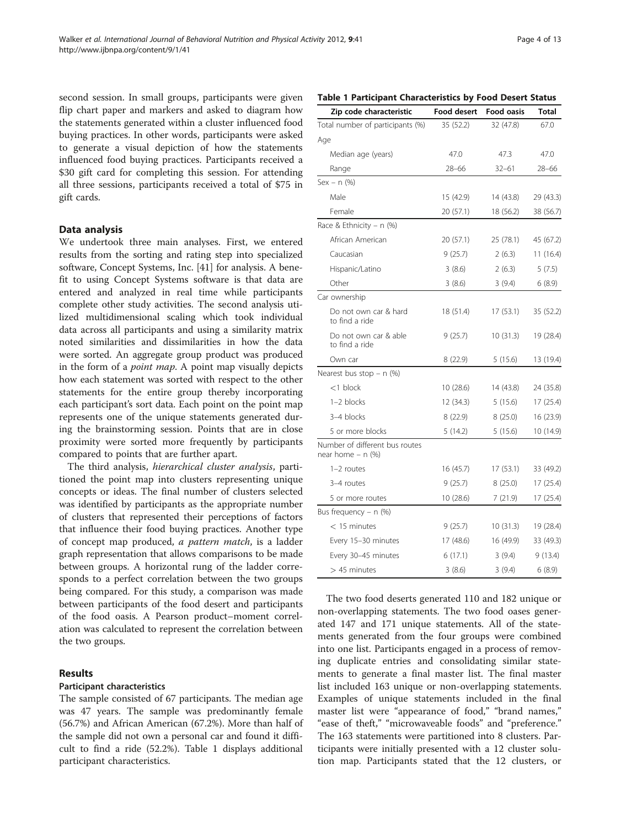second session. In small groups, participants were given flip chart paper and markers and asked to diagram how the statements generated within a cluster influenced food buying practices. In other words, participants were asked to generate a visual depiction of how the statements influenced food buying practices. Participants received a \$30 gift card for completing this session. For attending all three sessions, participants received a total of \$75 in gift cards.

#### Data analysis

We undertook three main analyses. First, we entered results from the sorting and rating step into specialized software, Concept Systems, Inc. [41] for analysis. A benefit to using Concept Systems software is that data are entered and analyzed in real time while participants complete other study activities. The second analysis utilized multidimensional scaling which took individual data across all participants and using a similarity matrix noted similarities and dissimilarities in how the data were sorted. An aggregate group product was produced in the form of a *point map*. A point map visually depicts how each statement was sorted with respect to the other statements for the entire group thereby incorporating each participant's sort data. Each point on the point map represents one of the unique statements generated during the brainstorming session. Points that are in close proximity were sorted more frequently by participants compared to points that are further apart.

The third analysis, hierarchical cluster analysis, partitioned the point map into clusters representing unique concepts or ideas. The final number of clusters selected was identified by participants as the appropriate number of clusters that represented their perceptions of factors that influence their food buying practices. Another type of concept map produced, a pattern match, is a ladder graph representation that allows comparisons to be made between groups. A horizontal rung of the ladder corresponds to a perfect correlation between the two groups being compared. For this study, a comparison was made between participants of the food desert and participants of the food oasis. A Pearson product–moment correlation was calculated to represent the correlation between the two groups.

#### Results

#### Participant characteristics

The sample consisted of 67 participants. The median age was 47 years. The sample was predominantly female (56.7%) and African American (67.2%). More than half of the sample did not own a personal car and found it difficult to find a ride (52.2%). Table 1 displays additional participant characteristics.

# Table 1 Participant Characteristics by Food Desert Status

| Zip code characteristic                                  | <b>Food desert</b> | Food oasis | Total     |
|----------------------------------------------------------|--------------------|------------|-----------|
| Total number of participants (%)                         | 35 (52.2)          | 32 (47.8)  | 67.0      |
| Age                                                      |                    |            |           |
| Median age (years)                                       | 47.0               | 47.3       | 47.0      |
| Range                                                    | 28-66              | $32 - 61$  | $28 - 66$ |
| $Sex - n$ (%)                                            |                    |            |           |
| Male                                                     | 15 (42.9)          | 14 (43.8)  | 29 (43.3) |
| Female                                                   | 20 (57.1)          | 18 (56.2)  | 38 (56.7) |
| Race & Ethnicity - n (%)                                 |                    |            |           |
| African American                                         | 20(57.1)           | 25 (78.1)  | 45 (67.2) |
| Caucasian                                                | 9(25.7)            | 2(6.3)     | 11(16.4)  |
| Hispanic/Latino                                          | 3(8.6)             | 2(6.3)     | 5(7.5)    |
| Other                                                    | 3(8.6)             | 3(9.4)     | 6(8.9)    |
| Car ownership                                            |                    |            |           |
| Do not own car & hard<br>to find a ride                  | 18 (51.4)          | 17(53.1)   | 35 (52.2) |
| Do not own car & able<br>to find a ride                  | 9(25.7)            | 10(31.3)   | 19 (28.4) |
| Own car                                                  | 8(22.9)            | 5(15.6)    | 13 (19.4) |
| Nearest bus stop $-$ n $(\%)$                            |                    |            |           |
| $<$ 1 block                                              | 10(28.6)           | 14 (43.8)  | 24 (35.8) |
| $1-2$ blocks                                             | 12 (34.3)          | 5(15.6)    | 17 (25.4) |
| 3-4 blocks                                               | 8(22.9)            | 8(25.0)    | 16 (23.9) |
| 5 or more blocks                                         | 5(14.2)            | 5(15.6)    | 10 (14.9) |
| Number of different bus routes<br>near home $-$ n $(\%)$ |                    |            |           |
| $1-2$ routes                                             | 16 (45.7)          | 17 (53.1)  | 33 (49.2) |
| 3-4 routes                                               | 9(25.7)            | 8(25.0)    | 17(25.4)  |
| 5 or more routes                                         | 10(28.6)           | 7(21.9)    | 17 (25.4) |
| Bus frequency - $n$ (%)                                  |                    |            |           |
| $<$ 15 minutes                                           | 9(25.7)            | 10(31.3)   | 19 (28.4) |
| Every 15-30 minutes                                      | 17 (48.6)          | 16 (49.9)  | 33 (49.3) |
| Every 30-45 minutes                                      | 6(17.1)            | 3(9.4)     | 9(13.4)   |
| $>45$ minutes                                            | 3(8.6)             | 3(9.4)     | 6(8.9)    |

The two food deserts generated 110 and 182 unique or non-overlapping statements. The two food oases generated 147 and 171 unique statements. All of the statements generated from the four groups were combined into one list. Participants engaged in a process of removing duplicate entries and consolidating similar statements to generate a final master list. The final master list included 163 unique or non-overlapping statements. Examples of unique statements included in the final master list were "appearance of food," "brand names," "ease of theft," "microwaveable foods" and "preference." The 163 statements were partitioned into 8 clusters. Participants were initially presented with a 12 cluster solution map. Participants stated that the 12 clusters, or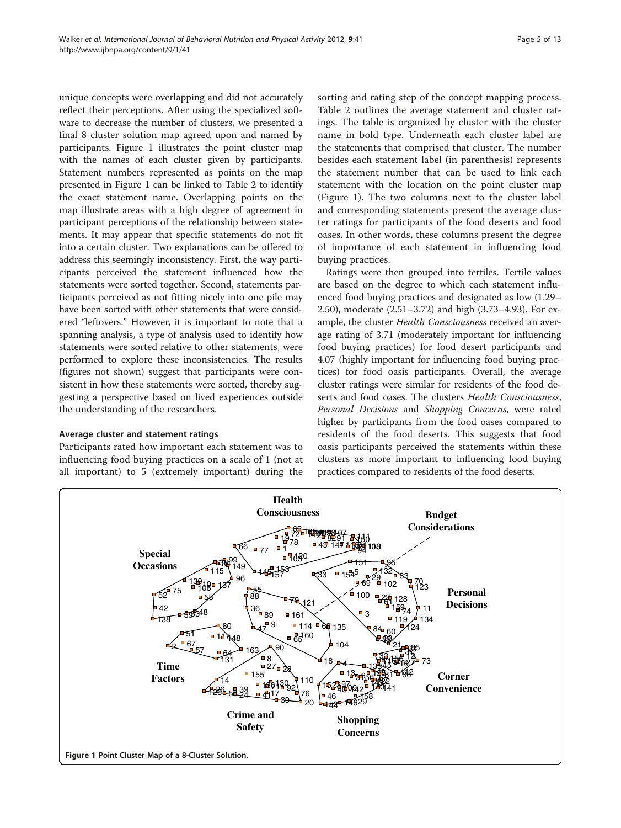unique concepts were overlapping and did not accurately reflect their perceptions. After using the specialized software to decrease the number of clusters, we presented a final 8 cluster solution map agreed upon and named by participants. Figure 1 illustrates the point cluster map with the names of each cluster given by participants. Statement numbers represented as points on the map presented in Figure 1 can be linked to Table 2 to identify the exact statement name. Overlapping points on the map illustrate areas with a high degree of agreement in participant perceptions of the relationship between statements. It may appear that specific statements do not fit into a certain cluster. Two explanations can be offered to address this seemingly inconsistency. First, the way participants perceived the statement influenced how the statements were sorted together. Second, statements participants perceived as not fitting nicely into one pile may have been sorted with other statements that were considered "leftovers." However, it is important to note that a spanning analysis, a type of analysis used to identify how statements were sorted relative to other statements, were performed to explore these inconsistencies. The results (figures not shown) suggest that participants were consistent in how these statements were sorted, thereby suggesting a perspective based on lived experiences outside the understanding of the researchers.

#### Average cluster and statement ratings

Participants rated how important each statement was to influencing food buying practices on a scale of 1 (not at all important) to 5 (extremely important) during the

sorting and rating step of the concept mapping process. Table 2 outlines the average statement and cluster ratings. The table is organized by cluster with the cluster name in bold type. Underneath each cluster label are the statements that comprised that cluster. The number besides each statement label (in parenthesis) represents the statement number that can be used to link each statement with the location on the point cluster map (Figure 1). The two columns next to the cluster label and corresponding statements present the average cluster ratings for participants of the food deserts and food oases. In other words, these columns present the degree of importance of each statement in influencing food buying practices.

Ratings were then grouped into tertiles. Tertile values are based on the degree to which each statement influenced food buying practices and designated as low (1.29– 2.50), moderate (2.51–3.72) and high (3.73–4.93). For example, the cluster Health Consciousness received an average rating of 3.71 (moderately important for influencing food buying practices) for food desert participants and 4.07 (highly important for influencing food buying practices) for food oasis participants. Overall, the average cluster ratings were similar for residents of the food deserts and food oases. The clusters Health Consciousness, Personal Decisions and Shopping Concerns, were rated higher by participants from the food oases compared to residents of the food deserts. This suggests that food oasis participants perceived the statements within these clusters as more important to influencing food buying practices compared to residents of the food deserts.

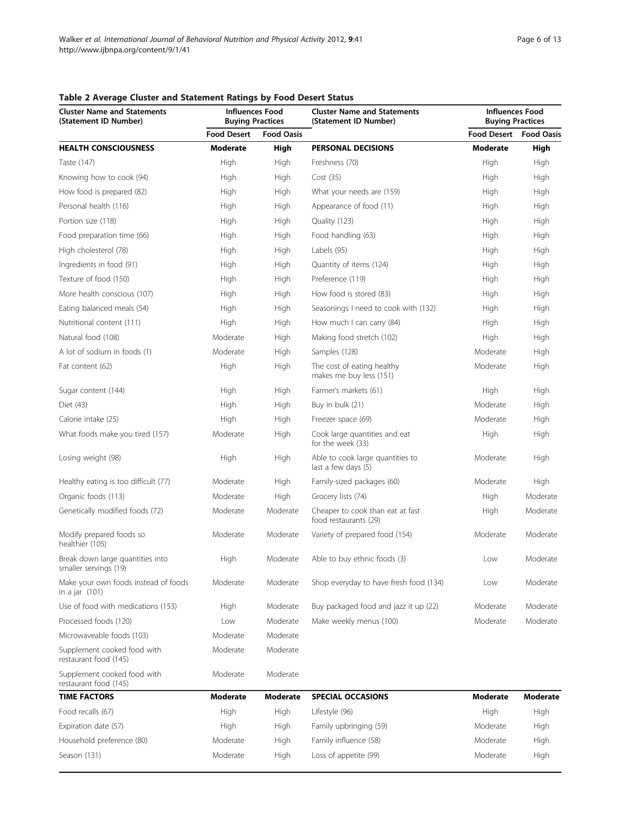### Table 2 Average Cluster and Statement Ratings by Food Desert Status

| <b>Cluster Name and Statements</b><br>(Statement ID Number) | <b>Influences Food</b><br><b>Buying Practices</b> |                   | <b>Cluster Name and Statements</b><br>(Statement ID Number) | <b>Influences Food</b><br><b>Buying Practices</b> |                   |
|-------------------------------------------------------------|---------------------------------------------------|-------------------|-------------------------------------------------------------|---------------------------------------------------|-------------------|
|                                                             | <b>Food Desert</b>                                | <b>Food Oasis</b> |                                                             | <b>Food Desert</b>                                | <b>Food Oasis</b> |
| <b>HEALTH CONSCIOUSNESS</b>                                 | <b>Moderate</b>                                   | High              | <b>PERSONAL DECISIONS</b>                                   | <b>Moderate</b>                                   | High              |
| Taste (147)                                                 | High                                              | High              | Freshness (70)                                              | High                                              | High              |
| Knowing how to cook (94)                                    | High                                              | High              | Cost(35)                                                    | High                                              | High              |
| How food is prepared (82)                                   | High                                              | High              | What your needs are (159)                                   | High                                              | High              |
| Personal health (116)                                       | High                                              | High              | Appearance of food (11)                                     | High                                              | High              |
| Portion size (118)                                          | High                                              | High              | Quality (123)                                               | High                                              | High              |
| Food preparation time (66)                                  | High                                              | High              | Food handling (63)                                          | High                                              | High              |
| High cholesterol (78)                                       | High                                              | High              | Labels (95)                                                 | High                                              | High              |
| Ingredients in food (91)                                    | High                                              | High              | Quantity of items (124)                                     | High                                              | High              |
| Texture of food (150)                                       | High                                              | High              | Preference (119)                                            | High                                              | High              |
| More health conscious (107)                                 | High                                              | High              | How food is stored (83)                                     | High                                              | High              |
| Eating balanced meals (54)                                  | High                                              | High              | Seasonings I need to cook with (132)                        | High                                              | High              |
| Nutritional content (111)                                   | High                                              | High              | How much I can carry (84)                                   | High                                              | High              |
| Natural food (108)                                          | Moderate                                          | High              | Making food stretch (102)                                   | High                                              | High              |
| A lot of sodium in foods (1)                                | Moderate                                          | High              | Samples (128)                                               | Moderate                                          | High              |
| Fat content (62)                                            | High                                              | High              | The cost of eating healthy<br>makes me buy less (151)       | Moderate                                          | High              |
| Sugar content (144)                                         | High                                              | High              | Farmer's markets (61)                                       | High                                              | High              |
| Diet (43)                                                   | High                                              | High              | Buy in bulk (21)                                            | Moderate                                          | High              |
| Calorie intake (25)                                         | High                                              | High              | Freezer space (69)                                          | Moderate                                          | High              |
| What foods make you tired (157)                             | Moderate                                          | High              | Cook large quantities and eat<br>for the week (33)          | High                                              | High              |
| Losing weight (98)                                          | High                                              | High              | Able to cook large quantities to<br>last a few days (5)     | Moderate                                          | High              |
| Healthy eating is too difficult (77)                        | Moderate                                          | High              | Family-sized packages (60)                                  | Moderate                                          | High              |
| Organic foods (113)                                         | Moderate                                          | High              | Grocery lists (74)                                          | High                                              | Moderate          |
| Genetically modified foods (72)                             | Moderate                                          | Moderate          | Cheaper to cook than eat at fast<br>food restaurants (29)   | High                                              | Moderate          |
| Modify prepared foods so<br>healthier (105)                 | Moderate                                          | Moderate          | Variety of prepared food (154)                              | Moderate                                          | Moderate          |
| Break down large quantities into<br>smaller servings (19)   | High                                              | Moderate          | Able to buy ethnic foods (3)                                | Low                                               | Moderate          |
| Make your own foods instead of foods<br>in a jar $(101)$    | Moderate                                          | Moderate          | Shop everyday to have fresh food (134)                      | Low                                               | Moderate          |
| Use of food with medications (153)                          | High                                              | Moderate          | Buy packaged food and jazz it up (22)                       | Moderate                                          | Moderate          |
| Processed foods (120)                                       | Low                                               | Moderate          | Make weekly menus (100)                                     | Moderate                                          | Moderate          |
| Microwaveable foods (103)                                   | Moderate                                          | Moderate          |                                                             |                                                   |                   |
| Supplement cooked food with<br>restaurant food (145)        | Moderate                                          | Moderate          |                                                             |                                                   |                   |
| Supplement cooked food with<br>restaurant food (145)        | Moderate                                          | Moderate          |                                                             |                                                   |                   |
| <b>TIME FACTORS</b>                                         | <b>Moderate</b>                                   | <b>Moderate</b>   | <b>SPECIAL OCCASIONS</b>                                    | <b>Moderate</b>                                   | <b>Moderate</b>   |
| Food recalls (67)                                           | High                                              | High              | Lifestyle (96)                                              | High                                              | High              |
| Expiration date (57)                                        | High                                              | High              | Family upbringing (59)                                      | Moderate                                          | High              |

Household preference (80) and Moderate High High Family influence (58) and Moderate High Season (131) **Moderate** High Loss of appetite (99) Moderate High Loss of appetite (99)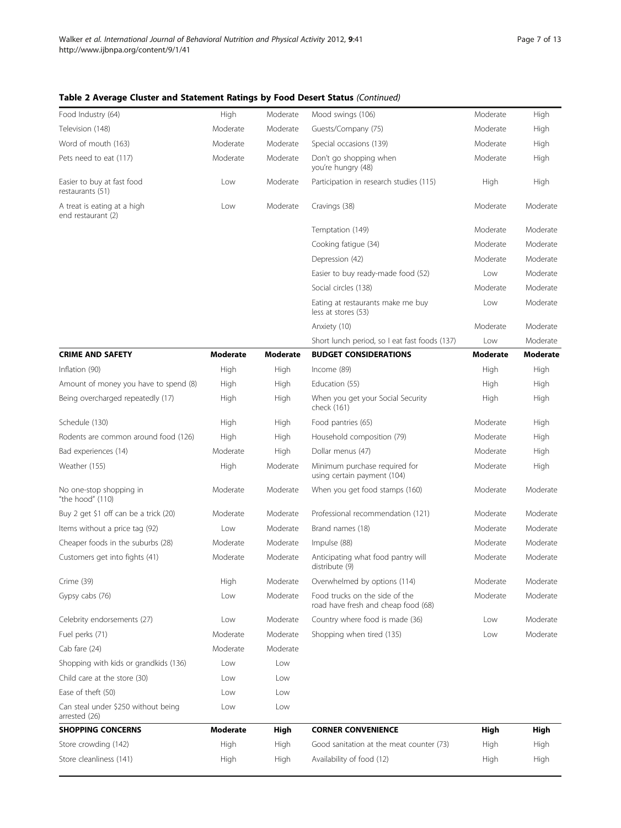# Table 2 Average Cluster and Statement Ratings by Food Desert Status (Continued)

| Food Industry (64)                                   | High     | Moderate        | Mood swings (106)                                                     | Moderate        | High     |
|------------------------------------------------------|----------|-----------------|-----------------------------------------------------------------------|-----------------|----------|
| Television (148)                                     | Moderate | Moderate        | Guests/Company (75)                                                   | Moderate        | High     |
| Word of mouth (163)                                  | Moderate | Moderate        | Special occasions (139)                                               | Moderate        | High     |
| Pets need to eat (117)                               | Moderate | Moderate        | Moderate<br>Don't go shopping when<br>you're hungry (48)              |                 | High     |
| Easier to buy at fast food<br>restaurants (51)       | Low      | Moderate        | Participation in research studies (115)                               | High            | High     |
| A treat is eating at a high<br>end restaurant (2)    | Low      | Moderate        | Cravings (38)                                                         | Moderate        | Moderate |
|                                                      |          |                 | Temptation (149)                                                      | Moderate        | Moderate |
|                                                      |          |                 | Cooking fatigue (34)                                                  | Moderate        | Moderate |
|                                                      |          |                 | Depression (42)                                                       | Moderate        | Moderate |
|                                                      |          |                 | Easier to buy ready-made food (52)                                    | Low             | Moderate |
|                                                      |          |                 | Social circles (138)                                                  | Moderate        | Moderate |
|                                                      |          |                 | Eating at restaurants make me buy<br>less at stores (53)              | Low             | Moderate |
|                                                      |          |                 | Anxiety (10)                                                          | Moderate        | Moderate |
|                                                      |          |                 | Short lunch period, so I eat fast foods (137)                         | Low             | Moderate |
| <b>CRIME AND SAFETY</b>                              | Moderate | <b>Moderate</b> | <b>BUDGET CONSIDERATIONS</b>                                          | <b>Moderate</b> | Moderate |
| Inflation (90)                                       | High     | High            | Income (89)                                                           | High            | High     |
| Amount of money you have to spend (8)                | High     | High            | Education (55)                                                        | High            | High     |
| Being overcharged repeatedly (17)                    | High     | High            | When you get your Social Security<br>check (161)                      | High            | High     |
| Schedule (130)                                       | High     | High            | Food pantries (65)                                                    | Moderate        | High     |
| Rodents are common around food (126)                 | High     | High            | Household composition (79)                                            | Moderate        | High     |
| Bad experiences (14)                                 | Moderate | High            | Dollar menus (47)                                                     | Moderate        | High     |
| Weather (155)                                        | High     | Moderate        | Minimum purchase required for<br>using certain payment (104)          | Moderate        | High     |
| No one-stop shopping in<br>"the hood" (110)          | Moderate | Moderate        | When you get food stamps (160)                                        | Moderate        | Moderate |
| Buy 2 get \$1 off can be a trick (20)                | Moderate | Moderate        | Professional recommendation (121)                                     | Moderate        | Moderate |
| Items without a price tag (92)                       | Low      | Moderate        | Brand names (18)                                                      | Moderate        | Moderate |
| Cheaper foods in the suburbs (28)                    | Moderate | Moderate        | Impulse (88)                                                          | Moderate        | Moderate |
| Customers get into fights (41)                       | Moderate | Moderate        | Anticipating what food pantry will<br>distribute (9)                  | Moderate        | Moderate |
| Crime (39)                                           | High     | Moderate        | Overwhelmed by options (114)                                          | Moderate        | Moderate |
| Gypsy cabs (76)                                      | Low      | Moderate        | Food trucks on the side of the<br>road have fresh and cheap food (68) | Moderate        | Moderate |
| Celebrity endorsements (27)                          | Low      | Moderate        | Country where food is made (36)                                       | Low             | Moderate |
| Fuel perks (71)                                      | Moderate | Moderate        | Shopping when tired (135)                                             | Low             | Moderate |
| Cab fare (24)                                        | Moderate | Moderate        |                                                                       |                 |          |
| Shopping with kids or grandkids (136)                | Low      | Low             |                                                                       |                 |          |
| Child care at the store (30)                         | Low      | Low             |                                                                       |                 |          |
| Ease of theft (50)                                   | Low      | Low             |                                                                       |                 |          |
| Can steal under \$250 without being<br>arrested (26) | Low      | Low             |                                                                       |                 |          |
| <b>SHOPPING CONCERNS</b>                             | Moderate | High            | <b>CORNER CONVENIENCE</b>                                             | High            | High     |
| Store crowding (142)                                 | High     | High            | Good sanitation at the meat counter (73)                              | High            | High     |
| Store cleanliness (141)                              | High     | High            | Availability of food (12)                                             | High            | High     |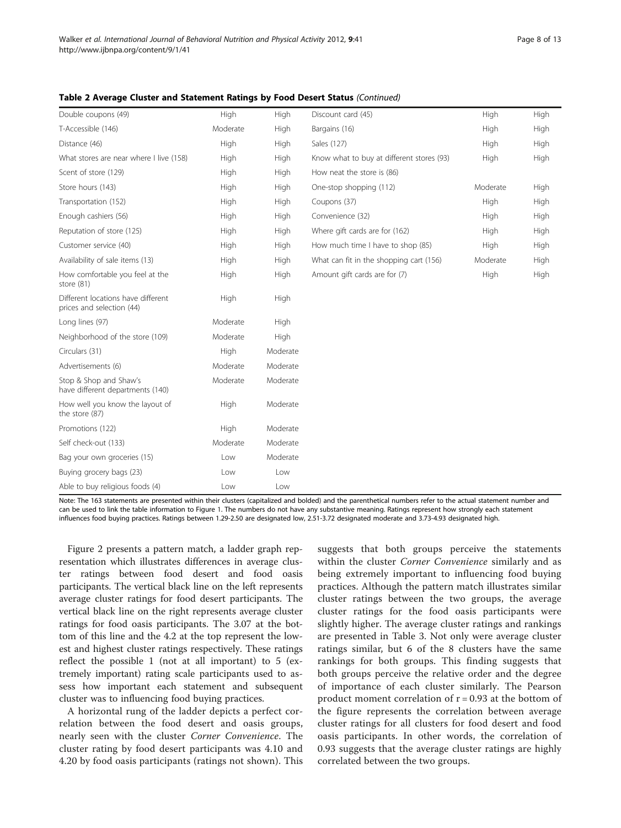| Double coupons (49)                                             | High     | High        | Discount card (45)                        | High        | High        |
|-----------------------------------------------------------------|----------|-------------|-------------------------------------------|-------------|-------------|
| T-Accessible (146)                                              | Moderate | <b>High</b> | Bargains (16)                             | High        | <b>High</b> |
| Distance (46)                                                   | High     | High        | Sales (127)                               | High        | High        |
| What stores are near where I live (158)                         | High     | <b>High</b> | Know what to buy at different stores (93) | High        | High        |
| Scent of store (129)                                            | High     | High        | How neat the store is (86)                |             |             |
| Store hours (143)                                               | High     | <b>High</b> | One-stop shopping (112)                   | Moderate    | <b>High</b> |
| Transportation (152)                                            | High     | <b>High</b> | Coupons (37)                              | High        | High        |
| Enough cashiers (56)                                            | High     | <b>High</b> | Convenience (32)                          | High        | High        |
| Reputation of store (125)                                       | High     | <b>High</b> | Where gift cards are for (162)            | <b>High</b> | <b>High</b> |
| Customer service (40)                                           | High     | <b>High</b> | How much time I have to shop (85)         | High        | <b>High</b> |
| Availability of sale items (13)                                 | High     | High        | What can fit in the shopping cart (156)   | Moderate    | High        |
| How comfortable you feel at the<br>store (81)                   | High     | <b>High</b> | Amount gift cards are for (7)             | High        | <b>High</b> |
| Different locations have different<br>prices and selection (44) | High     | <b>High</b> |                                           |             |             |
| Long lines (97)                                                 | Moderate | <b>High</b> |                                           |             |             |
| Neighborhood of the store (109)                                 | Moderate | High        |                                           |             |             |
| Circulars (31)                                                  | High     | Moderate    |                                           |             |             |
| Advertisements (6)                                              | Moderate | Moderate    |                                           |             |             |
| Stop & Shop and Shaw's<br>have different departments (140)      | Moderate | Moderate    |                                           |             |             |
| How well you know the layout of<br>the store (87)               | High     | Moderate    |                                           |             |             |
| Promotions (122)                                                | High     | Moderate    |                                           |             |             |
| Self check-out (133)                                            | Moderate | Moderate    |                                           |             |             |
| Bag your own groceries (15)                                     | Low      | Moderate    |                                           |             |             |
| Buying grocery bags (23)                                        | Low      | Low         |                                           |             |             |
| Able to buy religious foods (4)                                 | Low      | Low         |                                           |             |             |

Table 2 Average Cluster and Statement Ratings by Food Desert Status (Continued)

Note: The 163 statements are presented within their clusters (capitalized and bolded) and the parenthetical numbers refer to the actual statement number and can be used to link the table information to Figure 1. The numbers do not have any substantive meaning. Ratings represent how strongly each statement influences food buying practices. Ratings between 1.29-2.50 are designated low, 2.51-3.72 designated moderate and 3.73-4.93 designated high.

Figure 2 presents a pattern match, a ladder graph representation which illustrates differences in average cluster ratings between food desert and food oasis participants. The vertical black line on the left represents average cluster ratings for food desert participants. The vertical black line on the right represents average cluster ratings for food oasis participants. The 3.07 at the bottom of this line and the 4.2 at the top represent the lowest and highest cluster ratings respectively. These ratings reflect the possible 1 (not at all important) to 5 (extremely important) rating scale participants used to assess how important each statement and subsequent cluster was to influencing food buying practices.

A horizontal rung of the ladder depicts a perfect correlation between the food desert and oasis groups, nearly seen with the cluster Corner Convenience. The cluster rating by food desert participants was 4.10 and 4.20 by food oasis participants (ratings not shown). This suggests that both groups perceive the statements within the cluster Corner Convenience similarly and as being extremely important to influencing food buying practices. Although the pattern match illustrates similar cluster ratings between the two groups, the average cluster ratings for the food oasis participants were slightly higher. The average cluster ratings and rankings are presented in Table 3. Not only were average cluster ratings similar, but 6 of the 8 clusters have the same rankings for both groups. This finding suggests that both groups perceive the relative order and the degree of importance of each cluster similarly. The Pearson product moment correlation of  $r = 0.93$  at the bottom of the figure represents the correlation between average cluster ratings for all clusters for food desert and food oasis participants. In other words, the correlation of 0.93 suggests that the average cluster ratings are highly correlated between the two groups.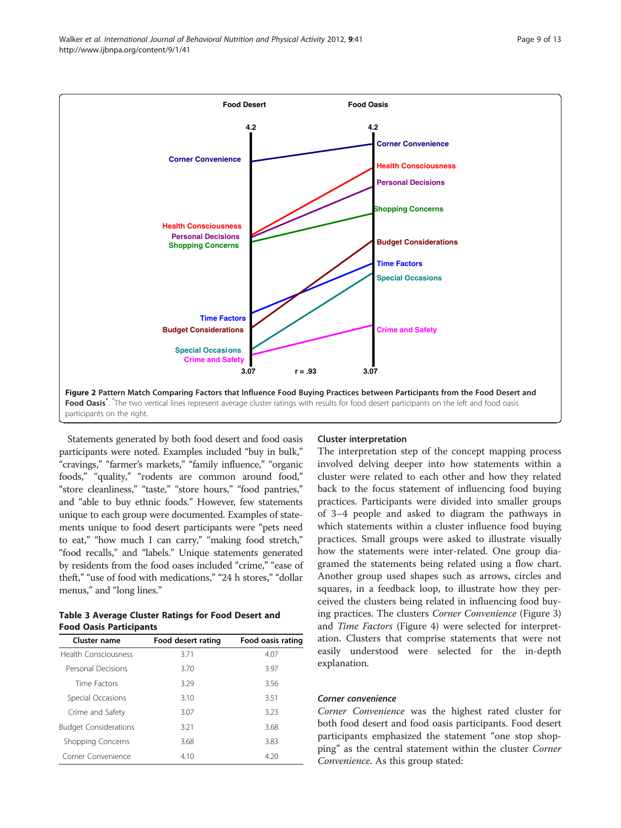

Statements generated by both food desert and food oasis participants were noted. Examples included "buy in bulk," "cravings," "farmer's markets," "family influence," "organic foods," "quality," "rodents are common around food," "store cleanliness," "taste," "store hours," "food pantries," and "able to buy ethnic foods." However, few statements unique to each group were documented. Examples of statements unique to food desert participants were "pets need to eat," "how much I can carry," "making food stretch," "food recalls," and "labels." Unique statements generated by residents from the food oases included "crime," "ease of theft," "use of food with medications," "24 h stores," "dollar menus," and "long lines."

Table 3 Average Cluster Ratings for Food Desert and Food Oasis Participants

| Cluster name                 | Food desert rating | Food oasis rating |
|------------------------------|--------------------|-------------------|
| <b>Health Consciousness</b>  | 3.71               | 4.07              |
| Personal Decisions           | 3.70               | 3.97              |
| Time Factors                 | 3.29               | 3.56              |
| Special Occasions            | 3.10               | 3.51              |
| Crime and Safety             | 3.07               | 3.23              |
| <b>Budget Considerations</b> | 3.21               | 3.68              |
| Shopping Concerns            | 3.68               | 3.83              |
| Corner Convenience           | 4.10               | 4.20              |

#### Cluster interpretation

The interpretation step of the concept mapping process involved delving deeper into how statements within a cluster were related to each other and how they related back to the focus statement of influencing food buying practices. Participants were divided into smaller groups of 3–4 people and asked to diagram the pathways in which statements within a cluster influence food buying practices. Small groups were asked to illustrate visually how the statements were inter-related. One group diagramed the statements being related using a flow chart. Another group used shapes such as arrows, circles and squares, in a feedback loop, to illustrate how they perceived the clusters being related in influencing food buying practices. The clusters Corner Convenience (Figure 3) and Time Factors (Figure 4) were selected for interpretation. Clusters that comprise statements that were not easily understood were selected for the in-depth explanation.

#### Corner convenience

Corner Convenience was the highest rated cluster for both food desert and food oasis participants. Food desert participants emphasized the statement "one stop shopping" as the central statement within the cluster Corner Convenience. As this group stated: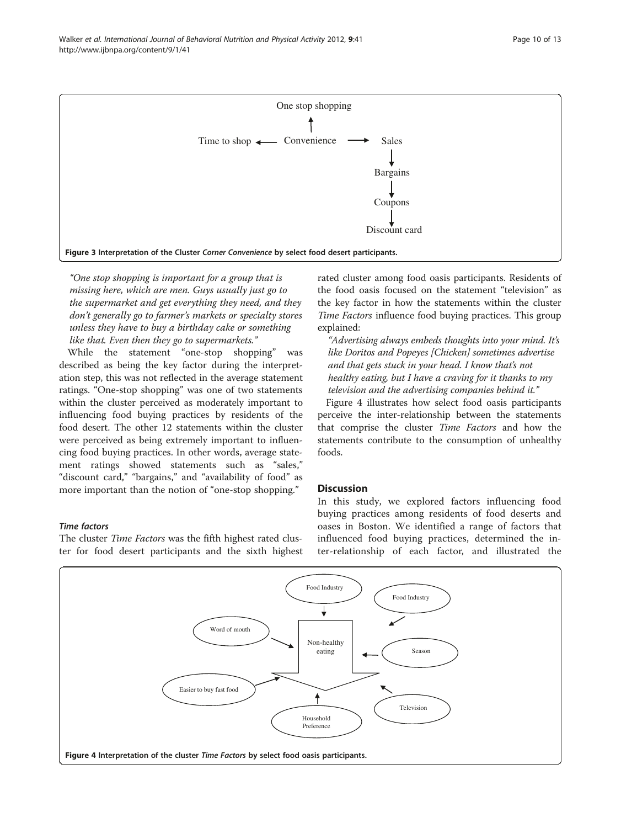Walker et al. International Journal of Behavioral Nutrition and Physical Activity 2012, 9:41 Page 10 Page 10 of 13 http://www.ijbnpa.org/content/9/1/41



"One stop shopping is important for a group that is missing here, which are men. Guys usually just go to the supermarket and get everything they need, and they don't generally go to farmer's markets or specialty stores unless they have to buy a birthday cake or something like that. Even then they go to supermarkets."

While the statement "one-stop shopping" was described as being the key factor during the interpretation step, this was not reflected in the average statement ratings. "One-stop shopping" was one of two statements within the cluster perceived as moderately important to influencing food buying practices by residents of the food desert. The other 12 statements within the cluster were perceived as being extremely important to influencing food buying practices. In other words, average statement ratings showed statements such as "sales," "discount card," "bargains," and "availability of food" as more important than the notion of "one-stop shopping."

#### Time factors

The cluster Time Factors was the fifth highest rated cluster for food desert participants and the sixth highest rated cluster among food oasis participants. Residents of the food oasis focused on the statement "television" as the key factor in how the statements within the cluster Time Factors influence food buying practices. This group explained:

"Advertising always embeds thoughts into your mind. It's like Doritos and Popeyes [Chicken] sometimes advertise and that gets stuck in your head. I know that's not healthy eating, but I have a craving for it thanks to my television and the advertising companies behind it."

Figure 4 illustrates how select food oasis participants perceive the inter-relationship between the statements that comprise the cluster Time Factors and how the statements contribute to the consumption of unhealthy foods.

#### **Discussion**

In this study, we explored factors influencing food buying practices among residents of food deserts and oases in Boston. We identified a range of factors that influenced food buying practices, determined the inter-relationship of each factor, and illustrated the

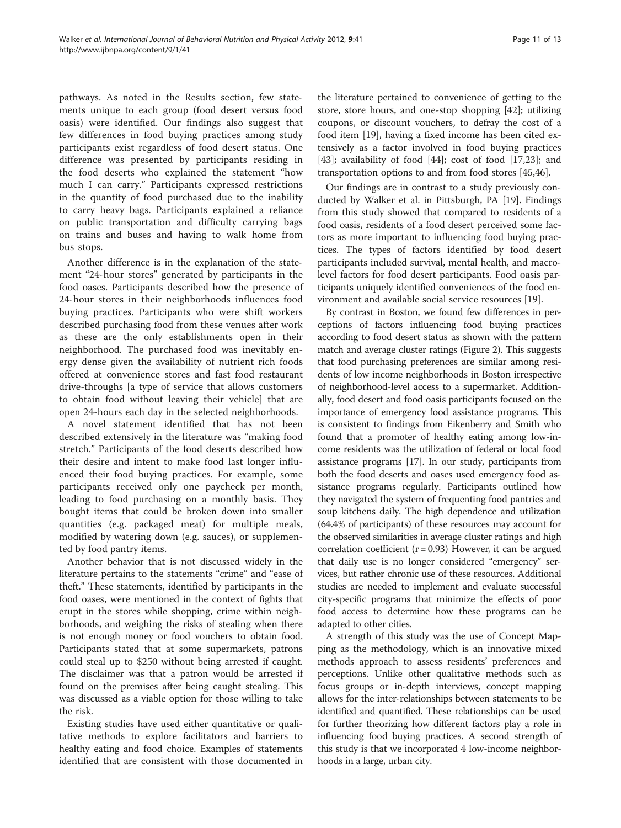pathways. As noted in the Results section, few statements unique to each group (food desert versus food oasis) were identified. Our findings also suggest that few differences in food buying practices among study participants exist regardless of food desert status. One difference was presented by participants residing in the food deserts who explained the statement "how much I can carry." Participants expressed restrictions in the quantity of food purchased due to the inability to carry heavy bags. Participants explained a reliance on public transportation and difficulty carrying bags on trains and buses and having to walk home from bus stops.

Another difference is in the explanation of the statement "24-hour stores" generated by participants in the food oases. Participants described how the presence of 24-hour stores in their neighborhoods influences food buying practices. Participants who were shift workers described purchasing food from these venues after work as these are the only establishments open in their neighborhood. The purchased food was inevitably energy dense given the availability of nutrient rich foods offered at convenience stores and fast food restaurant drive-throughs [a type of service that allows customers to obtain food without leaving their vehicle] that are open 24-hours each day in the selected neighborhoods.

A novel statement identified that has not been described extensively in the literature was "making food stretch." Participants of the food deserts described how their desire and intent to make food last longer influenced their food buying practices. For example, some participants received only one paycheck per month, leading to food purchasing on a monthly basis. They bought items that could be broken down into smaller quantities (e.g. packaged meat) for multiple meals, modified by watering down (e.g. sauces), or supplemented by food pantry items.

Another behavior that is not discussed widely in the literature pertains to the statements "crime" and "ease of theft." These statements, identified by participants in the food oases, were mentioned in the context of fights that erupt in the stores while shopping, crime within neighborhoods, and weighing the risks of stealing when there is not enough money or food vouchers to obtain food. Participants stated that at some supermarkets, patrons could steal up to \$250 without being arrested if caught. The disclaimer was that a patron would be arrested if found on the premises after being caught stealing. This was discussed as a viable option for those willing to take the risk.

Existing studies have used either quantitative or qualitative methods to explore facilitators and barriers to healthy eating and food choice. Examples of statements identified that are consistent with those documented in

the literature pertained to convenience of getting to the store, store hours, and one-stop shopping [42]; utilizing coupons, or discount vouchers, to defray the cost of a food item [19], having a fixed income has been cited extensively as a factor involved in food buying practices [43]; availability of food [44]; cost of food [17,23]; and transportation options to and from food stores [45,46].

Our findings are in contrast to a study previously conducted by Walker et al. in Pittsburgh, PA [19]. Findings from this study showed that compared to residents of a food oasis, residents of a food desert perceived some factors as more important to influencing food buying practices. The types of factors identified by food desert participants included survival, mental health, and macrolevel factors for food desert participants. Food oasis participants uniquely identified conveniences of the food environment and available social service resources [19].

By contrast in Boston, we found few differences in perceptions of factors influencing food buying practices according to food desert status as shown with the pattern match and average cluster ratings (Figure 2). This suggests that food purchasing preferences are similar among residents of low income neighborhoods in Boston irrespective of neighborhood-level access to a supermarket. Additionally, food desert and food oasis participants focused on the importance of emergency food assistance programs. This is consistent to findings from Eikenberry and Smith who found that a promoter of healthy eating among low-income residents was the utilization of federal or local food assistance programs [17]. In our study, participants from both the food deserts and oases used emergency food assistance programs regularly. Participants outlined how they navigated the system of frequenting food pantries and soup kitchens daily. The high dependence and utilization (64.4% of participants) of these resources may account for the observed similarities in average cluster ratings and high correlation coefficient  $(r = 0.93)$  However, it can be argued that daily use is no longer considered "emergency" services, but rather chronic use of these resources. Additional studies are needed to implement and evaluate successful city-specific programs that minimize the effects of poor food access to determine how these programs can be adapted to other cities.

A strength of this study was the use of Concept Mapping as the methodology, which is an innovative mixed methods approach to assess residents' preferences and perceptions. Unlike other qualitative methods such as focus groups or in-depth interviews, concept mapping allows for the inter-relationships between statements to be identified and quantified. These relationships can be used for further theorizing how different factors play a role in influencing food buying practices. A second strength of this study is that we incorporated 4 low-income neighborhoods in a large, urban city.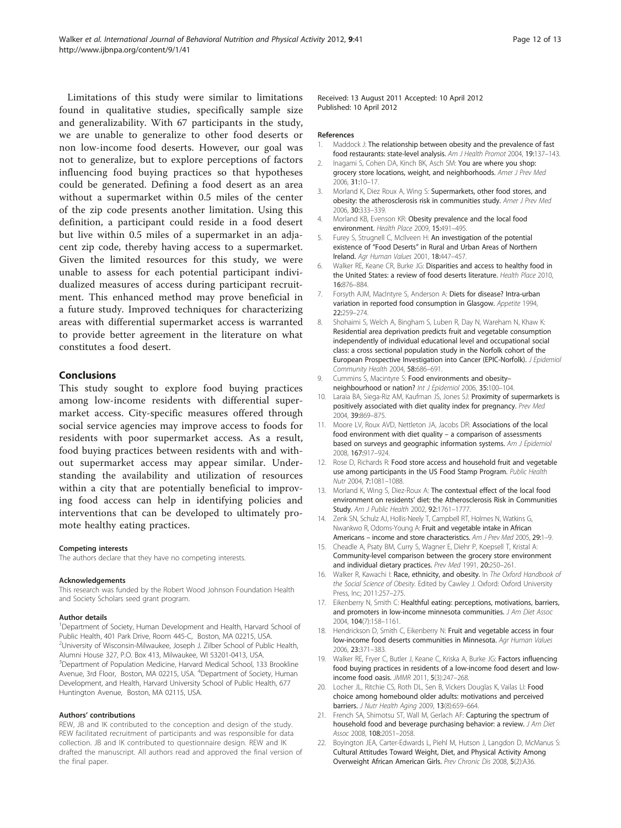Limitations of this study were similar to limitations found in qualitative studies, specifically sample size and generalizability. With 67 participants in the study, we are unable to generalize to other food deserts or non low-income food deserts. However, our goal was not to generalize, but to explore perceptions of factors influencing food buying practices so that hypotheses could be generated. Defining a food desert as an area without a supermarket within 0.5 miles of the center of the zip code presents another limitation. Using this definition, a participant could reside in a food desert but live within 0.5 miles of a supermarket in an adjacent zip code, thereby having access to a supermarket. Given the limited resources for this study, we were unable to assess for each potential participant individualized measures of access during participant recruitment. This enhanced method may prove beneficial in a future study. Improved techniques for characterizing areas with differential supermarket access is warranted to provide better agreement in the literature on what constitutes a food desert.

#### Conclusions

This study sought to explore food buying practices among low-income residents with differential supermarket access. City-specific measures offered through social service agencies may improve access to foods for residents with poor supermarket access. As a result, food buying practices between residents with and without supermarket access may appear similar. Understanding the availability and utilization of resources within a city that are potentially beneficial to improving food access can help in identifying policies and interventions that can be developed to ultimately promote healthy eating practices.

#### Competing interests

The authors declare that they have no competing interests.

#### Acknowledgements

This research was funded by the Robert Wood Johnson Foundation Health and Society Scholars seed grant program.

#### Author details

<sup>1</sup>Department of Society, Human Development and Health, Harvard School of Public Health, 401 Park Drive, Room 445-C, Boston, MA 02215, USA. <sup>2</sup>University of Wisconsin-Milwaukee, Joseph J. Zilber School of Public Health, Alumni House 327, P.O. Box 413, Milwaukee, WI 53201-0413, USA. <sup>3</sup>Department of Population Medicine, Harvard Medical School, 133 Brookline Avenue, 3rd Floor, Boston, MA 02215, USA. <sup>4</sup>Department of Society, Human Development, and Health, Harvard University School of Public Health, 677 Huntington Avenue, Boston, MA 02115, USA.

#### Authors' contributions

REW, JB and IK contributed to the conception and design of the study. REW facilitated recruitment of participants and was responsible for data collection. JB and IK contributed to questionnaire design. REW and IK drafted the manuscript. All authors read and approved the final version of the final paper.

Received: 13 August 2011 Accepted: 10 April 2012 Published: 10 April 2012

#### References

- 1. Maddock J: The relationship between obesity and the prevalence of fast food restaurants: state-level analysis. Am J Health Promot 2004, 19:137–143.
- Inagami S, Cohen DA, Kinch BK, Asch SM: You are where you shop: grocery store locations, weight, and neighborhoods. Amer J Prev Med 2006, 31:10–17.
- 3. Morland K, Diez Roux A, Wing S: Supermarkets, other food stores, and obesity: the atherosclerosis risk in communities study. Amer J Prev Med 2006, 30:333–339.
- 4. Morland KB, Evenson KR: Obesity prevalence and the local food environment. Health Place 2009, 15:491–495.
- 5. Furey S, Strugnell C, McIlveen H: An investigation of the potential existence of "Food Deserts" in Rural and Urban Areas of Northern Ireland. Agr Human Values 2001, 18:447–457.
- 6. Walker RE, Keane CR, Burke JG: Disparities and access to healthy food in the United States: a review of food deserts literature. Health Place 2010, 16:876–884.
- 7. Forsyth AJM, MacIntyre S, Anderson A: Diets for disease? Intra-urban variation in reported food consumption in Glasgow. Appetite 1994, 22:259–274.
- 8. Shohaimi S, Welch A, Bingham S, Luben R, Day N, Wareham N, Khaw K: Residential area deprivation predicts fruit and vegetable consumption independently of individual educational level and occupational social class: a cross sectional population study in the Norfolk cohort of the European Prospective Investigation into Cancer (EPIC-Norfolk). J Epidemiol Community Health 2004, 58:686–691.
- 9. Cummins S, Macintyre S: Food environments and obesityneighbourhood or nation? Int J Epidemiol 2006, 35:100–104.
- 10. Laraia BA, Siega-Riz AM, Kaufman JS, Jones SJ: Proximity of supermarkets is positively associated with diet quality index for pregnancy. Prev Med 2004, 39:869–875.
- 11. Moore LV, Roux AVD, Nettleton JA, Jacobs DR: Associations of the local food environment with diet quality – a comparison of assessments based on surveys and geographic information systems. Am J Epidemiol 2008, 167:917–924.
- 12. Rose D, Richards R: Food store access and household fruit and vegetable use among participants in the US Food Stamp Program. Public Health Nutr 2004 7:1081-1088.
- 13. Morland K, Wing S, Diez-Roux A: The contextual effect of the local food environment on residents' diet: the Atherosclerosis Risk in Communities Study. Am J Public Health 2002, 92:1761–1777.
- 14. Zenk SN, Schulz AJ, Hollis-Neely T, Campbell RT, Holmes N, Watkins G, Nwankwo R, Odoms-Young A: Fruit and vegetable intake in African Americans – income and store characteristics. Am J Prev Med 2005, 29:1–9.
- 15. Cheadle A, Psaty BM, Curry S, Wagner E, Diehr P, Koepsell T, Kristal A: Community-level comparison between the grocery store environment and individual dietary practices. Prev Med 1991, 20:250–261.
- 16. Walker R, Kawachi I: Race, ethnicity, and obesity. In The Oxford Handbook of the Social Science of Obesity. Edited by Cawley J. Oxford: Oxford University Press, Inc; 2011:257–275.
- 17. Eikenberry N, Smith C: Healthful eating: perceptions, motivations, barriers, and promoters in low-income minnesota communities. J Am Diet Assoc 2004, 104(7):158–1161.
- 18. Hendrickson D, Smith C, Eikenberry N: Fruit and vegetable access in four low-income food deserts communities in Minnesota. Agr Human Values 2006, 23:371–383.
- 19. Walker RE, Fryer C, Butler J, Keane C, Kriska A, Burke JG: Factors influencing food buying practices in residents of a low-income food desert and lowincome food oasis. JMMR 2011, 5(3):247–268.
- 20. Locher JL, Ritchie CS, Roth DL, Sen B, Vickers Douglas K, Vailas Ll: Food choice among homebound older adults: motivations and perceived barriers. J Nutr Health Aging 2009, 13(8):659–664.
- 21. French SA, Shimotsu ST, Wall M, Gerlach AF: Capturing the spectrum of household food and beverage purchasing behavior: a review. J Am Diet Assoc 2008, 108:2051–2058.
- 22. Boyington JEA, Carter-Edwards L, Piehl M, Hutson J, Langdon D, McManus S: Cultural Attitudes Toward Weight, Diet, and Physical Activity Among Overweight African American Girls. Prev Chronic Dis 2008, 5(2):A36.